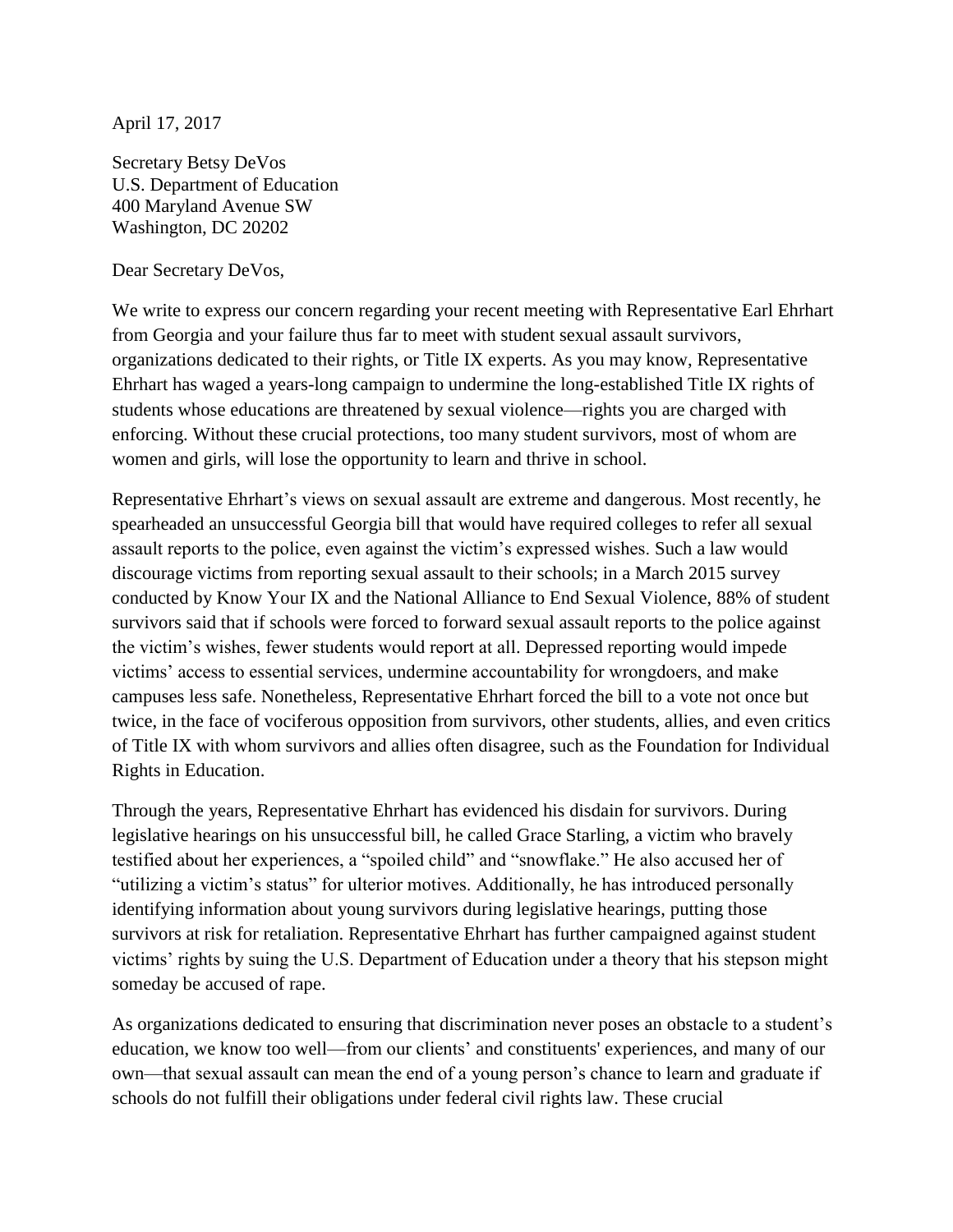April 17, 2017

Secretary Betsy DeVos U.S. Department of Education 400 Maryland Avenue SW Washington, DC 20202

Dear Secretary DeVos,

We write to express our concern regarding your recent meeting with Representative Earl Ehrhart from Georgia and your failure thus far to meet with student sexual assault survivors, organizations dedicated to their rights, or Title IX experts. As you may know, Representative Ehrhart has waged a years-long campaign to undermine the long-established Title IX rights of students whose educations are threatened by sexual violence—rights you are charged with enforcing. Without these crucial protections, too many student survivors, most of whom are women and girls, will lose the opportunity to learn and thrive in school.

Representative Ehrhart's views on sexual assault are extreme and dangerous. Most recently, he spearheaded an unsuccessful Georgia bill that would have required colleges to refer all sexual assault reports to the police, even against the victim's expressed wishes. Such a law would discourage victims from reporting sexual assault to their schools; in a March 2015 survey conducted by Know Your IX and the National Alliance to End Sexual Violence, 88% of student survivors said that if schools were forced to forward sexual assault reports to the police against the victim's wishes, fewer students would report at all. Depressed reporting would impede victims' access to essential services, undermine accountability for wrongdoers, and make campuses less safe. Nonetheless, Representative Ehrhart forced the bill to a vote not once but twice, in the face of vociferous opposition from survivors, other students, allies, and even critics of Title IX with whom survivors and allies often disagree, such as the Foundation for Individual Rights in Education.

Through the years, Representative Ehrhart has evidenced his disdain for survivors. During legislative hearings on his unsuccessful bill, he called Grace Starling, a victim who bravely testified about her experiences, a "spoiled child" and "snowflake." He also accused her of "utilizing a victim's status" for ulterior motives. Additionally, he has introduced personally identifying information about young survivors during legislative hearings, putting those survivors at risk for retaliation. Representative Ehrhart has further campaigned against student victims' rights by suing the U.S. Department of Education under a theory that his stepson might someday be accused of rape.

As organizations dedicated to ensuring that discrimination never poses an obstacle to a student's education, we know too well—from our clients' and constituents' experiences, and many of our own—that sexual assault can mean the end of a young person's chance to learn and graduate if schools do not fulfill their obligations under federal civil rights law. These crucial